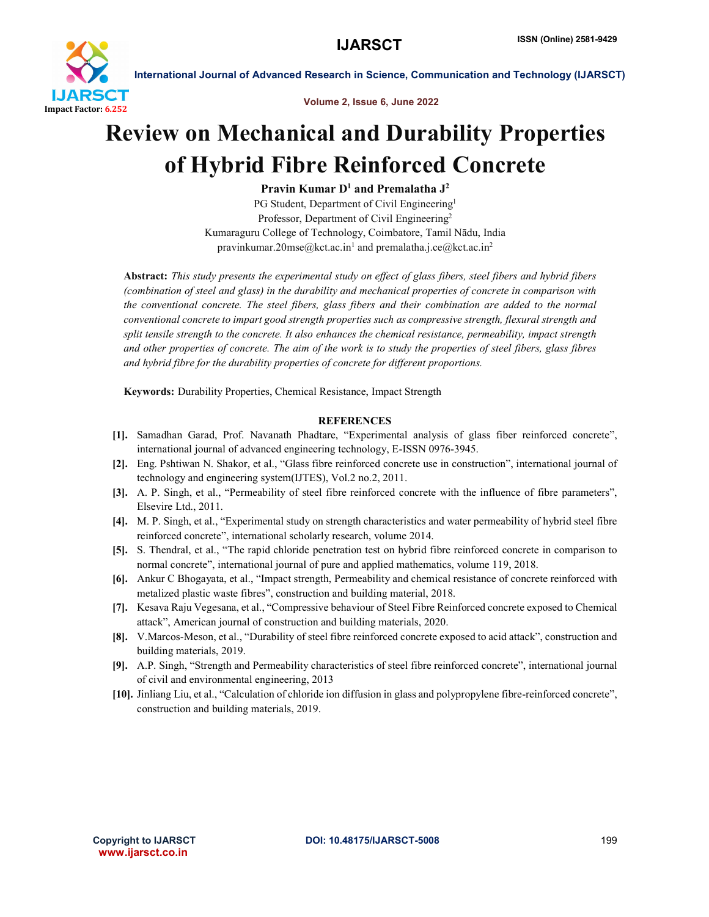

International Journal of Advanced Research in Science, Communication and Technology (IJARSCT)

Volume 2, Issue 6, June 2022

## Review on Mechanical and Durability Properties of Hybrid Fibre Reinforced Concrete

Pravin Kumar  $D^1$  and Premalatha  $J^2$ 

PG Student, Department of Civil Engineering<sup>1</sup> Professor, Department of Civil Engineering<sup>2</sup> Kumaraguru College of Technology, Coimbatore, Tamil Nādu, India pravinkumar.20mse@kct.ac.in<sup>1</sup> and premalatha.j.ce@kct.ac.in<sup>2</sup>

Abstract: *This study presents the experimental study on effect of glass fibers, steel fibers and hybrid fibers (combination of steel and glass) in the durability and mechanical properties of concrete in comparison with the conventional concrete. The steel fibers, glass fibers and their combination are added to the normal conventional concrete to impart good strength properties such as compressive strength, flexural strength and split tensile strength to the concrete. It also enhances the chemical resistance, permeability, impact strength and other properties of concrete. The aim of the work is to study the properties of steel fibers, glass fibres and hybrid fibre for the durability properties of concrete for different proportions.*

Keywords: Durability Properties, Chemical Resistance, Impact Strength

## **REFERENCES**

- [1]. Samadhan Garad, Prof. Navanath Phadtare, "Experimental analysis of glass fiber reinforced concrete", international journal of advanced engineering technology, E-ISSN 0976-3945.
- [2]. Eng. Pshtiwan N. Shakor, et al., "Glass fibre reinforced concrete use in construction", international journal of technology and engineering system(IJTES), Vol.2 no.2, 2011.
- [3]. A. P. Singh, et al., "Permeability of steel fibre reinforced concrete with the influence of fibre parameters", Elsevire Ltd., 2011.
- [4]. M. P. Singh, et al., "Experimental study on strength characteristics and water permeability of hybrid steel fibre reinforced concrete", international scholarly research, volume 2014.
- [5]. S. Thendral, et al., "The rapid chloride penetration test on hybrid fibre reinforced concrete in comparison to normal concrete", international journal of pure and applied mathematics, volume 119, 2018.
- [6]. Ankur C Bhogayata, et al., "Impact strength, Permeability and chemical resistance of concrete reinforced with metalized plastic waste fibres", construction and building material, 2018.
- [7]. Kesava Raju Vegesana, et al., "Compressive behaviour of Steel Fibre Reinforced concrete exposed to Chemical attack", American journal of construction and building materials, 2020.
- [8]. V.Marcos-Meson, et al., "Durability of steel fibre reinforced concrete exposed to acid attack", construction and building materials, 2019.
- [9]. A.P. Singh, "Strength and Permeability characteristics of steel fibre reinforced concrete", international journal of civil and environmental engineering, 2013
- [10]. Jinliang Liu, et al., "Calculation of chloride ion diffusion in glass and polypropylene fibre-reinforced concrete", construction and building materials, 2019.